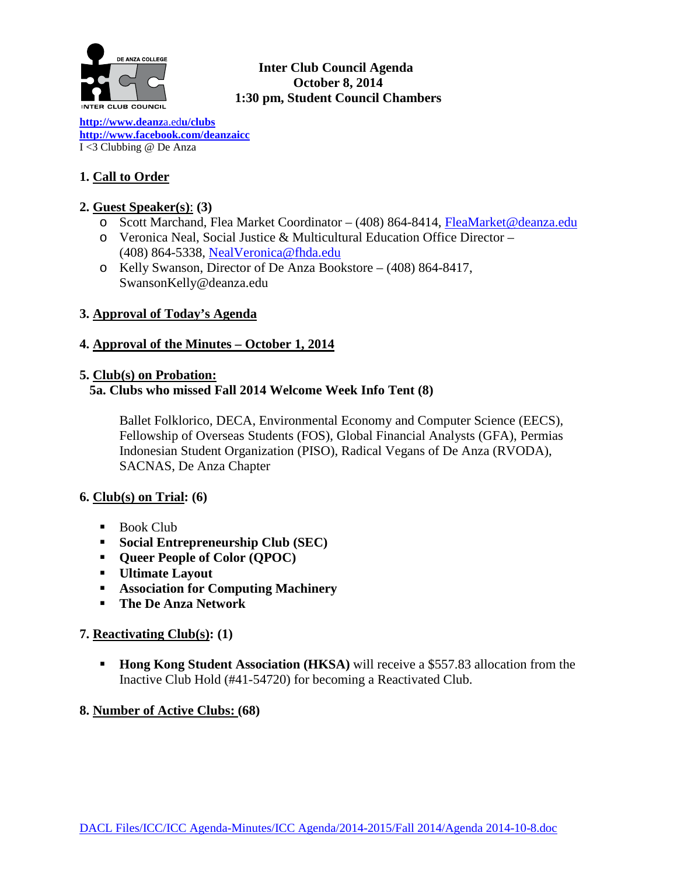

# **Inter Club Council Agenda October 8, 2014 1:30 pm, Student Council Chambers**

**[http://www.deanz](http://www.deanza.edu/clubs)**a.ed**u/clubs [http://www.facebook.com/deanzaicc](http://www.facebook.com/home.php%23!/group.php?gid=59034552686)** I <3 Clubbing @ De Anza

# **1. Call to Order**

# **2. Guest Speaker(s)**: **(3)**

- o Scott Marchand, Flea Market Coordinator (408) 864-8414, [FleaMarket@deanza.edu](mailto:FleaMarket@deanza.edu)
- o Veronica Neal, Social Justice & Multicultural Education Office Director (408) 864-5338, [NealVeronica@fhda.edu](mailto:NealVeronica@fhda.edu)
- o Kelly Swanson, Director of De Anza Bookstore (408) 864-8417, SwansonKelly@deanza.edu

# **3. Approval of Today's Agenda**

# **4. Approval of the Minutes – October 1, 2014**

## **5. Club(s) on Probation:**

# **5a. Clubs who missed Fall 2014 Welcome Week Info Tent (8)**

Ballet Folklorico, DECA, Environmental Economy and Computer Science (EECS), Fellowship of Overseas Students (FOS), Global Financial Analysts (GFA), Permias Indonesian Student Organization (PISO), Radical Vegans of De Anza (RVODA), SACNAS, De Anza Chapter

## **6. Club(s) on Trial: (6)**

- $\blacksquare$  Book Club
- **Social Entrepreneurship Club (SEC)**
- **Queer People of Color (QPOC)**
- **Ultimate Layout**
- **Association for Computing Machinery**
- **The De Anza Network**

## **7. Reactivating Club(s): (1)**

**Hong Kong Student Association (HKSA)** will receive a \$557.83 allocation from the Inactive Club Hold (#41-54720) for becoming a Reactivated Club.

## **8. Number of Active Clubs: (68)**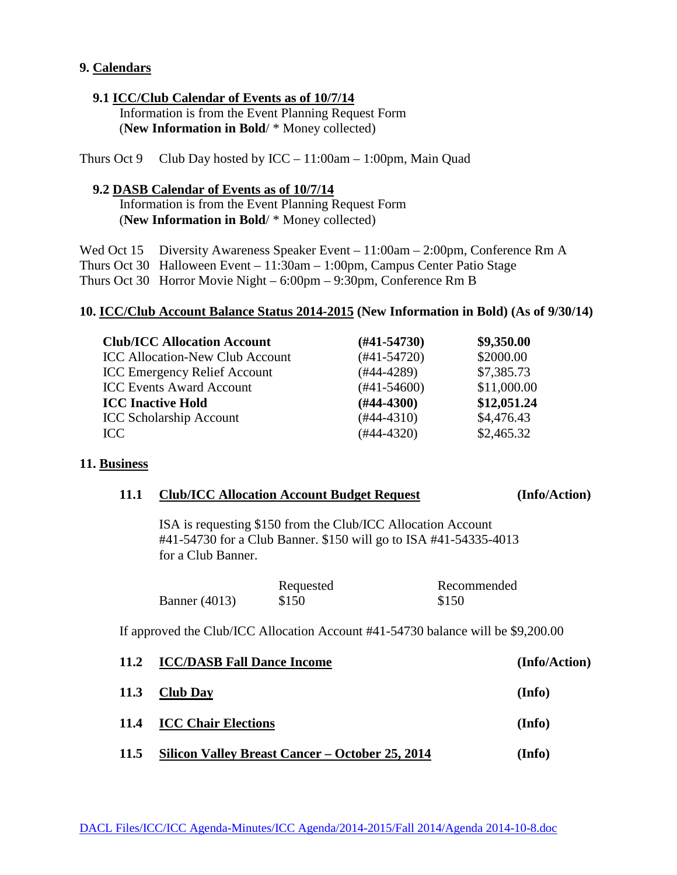### **9. Calendars**

### **9.1 ICC/Club Calendar of Events as of 10/7/14**

 Information is from the Event Planning Request Form (**New Information in Bold**/ \* Money collected)

Thurs Oct 9 Club Day hosted by  $ICC - 11:00am - 1:00pm$ , Main Quad

### **9.2 DASB Calendar of Events as of 10/7/14**

 Information is from the Event Planning Request Form (**New Information in Bold**/ \* Money collected)

Wed Oct 15 Diversity Awareness Speaker Event – 11:00am – 2:00pm, Conference Rm A Thurs Oct 30 Halloween Event – 11:30am – 1:00pm, Campus Center Patio Stage Thurs Oct 30 Horror Movie Night – 6:00pm – 9:30pm, Conference Rm B

#### **10. ICC/Club Account Balance Status 2014-2015 (New Information in Bold) (As of 9/30/14)**

| <b>Club/ICC Allocation Account</b>     | $(\#41 - 54730)$ | \$9,350.00  |
|----------------------------------------|------------------|-------------|
| <b>ICC Allocation-New Club Account</b> | $(#41-54720)$    | \$2000.00   |
| <b>ICC Emergency Relief Account</b>    | $(#44-4289)$     | \$7,385.73  |
| <b>ICC Events Award Account</b>        | $(\#41 - 54600)$ | \$11,000.00 |
| <b>ICC Inactive Hold</b>               | $(H44-4300)$     | \$12,051.24 |
| <b>ICC Scholarship Account</b>         | $(#44-4310)$     | \$4,476.43  |
| ICC.                                   | $(#44-4320)$     | \$2,465.32  |

#### **11. Business**

|  | 11.1 Club/ICC Allocation Account Budget Request | (Info/Action) |
|--|-------------------------------------------------|---------------|
|--|-------------------------------------------------|---------------|

ISA is requesting \$150 from the Club/ICC Allocation Account #41-54730 for a Club Banner. \$150 will go to ISA #41-54335-4013 for a Club Banner.

|                      | Requested | Recommended |
|----------------------|-----------|-------------|
| <b>Banner</b> (4013) | \$150     | \$150       |

If approved the Club/ICC Allocation Account #41-54730 balance will be \$9,200.00

| 11.2        | <b>ICC/DASB Fall Dance Income</b>               | (Info/Action) |
|-------------|-------------------------------------------------|---------------|
| <b>11.3</b> | <b>Club Day</b>                                 | (Info)        |
| 11.4        | <b>ICC Chair Elections</b>                      | (Info)        |
| 11.5        | Silicon Valley Breast Cancer – October 25, 2014 | (Info)        |